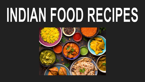# INDIAN FOOD RECIPES

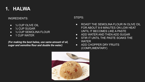# **1. HALWA**

### INGREDIENTS:

- $\bullet$   $\frac{1}{2}$  CUP OLIVE OIL
- $\bullet$   $\frac{1}{2}$  CUP SUGAR
- ½ CUP SEMOLINA FLOUR
- 1 CUP WATER

*(For making the best halwa, use same amount of oil, sugar and semolina flour and double the water)*

- ROAST THE SEMOLINA FLOUR IN OLIVE OIL FOR ABOUT 8-9 MINUTES ON LOW HEAT UNTIL IT BECOMES LIKE A PASTE
- ADD WATER AND THEN ADD SUGAR
- **•** STIR IT UNTIL THE PASTE SOAKS THE **WATER**
- ADD CHOPPER DRY FRUITS (COMPLIMENTARY)

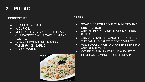# **2. PULAO**

## INGREDIENTS:

- 1.5 CUPS BASMATI RICE
- $\bullet$   $\frac{1}{2}$  CUP OIL
- VEGETABLES-1/2 CUP GREEN PEAS, 1/2 CUP CARROT, ½ CUP CAPSICUM AND 1 TOMATO
- ½ TABLESPOON GINGER AND ½ TABLESPOON GARLIC
- 2 CUPS WATER



- SOAK RICE FOR ABOUT 20 MINUTES AND KEEP IT ASIDE
- ADD OIL IN A PAN AND HEAT ON MEDIUM FLAME
- ADD VEGETABLES, GINGER AND GARLIC IN THE PAN AND SAUTE IT FOR 5 MINUTES
- ADD SOAKED RICE AND WATER IN THE PAN AND STIR IT WELL
- COVER THE PAN WITH A LID AND LET IT HEAT FOR 10 MINUTES UNTIL READY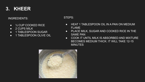# **3. KHEER**

### INGREDIENTS:

- ½ CUP COOKED RICE
- 2 CUPS MILK
- 1 TABLESPOON SUGAR
- **1 TABLESPOON OLIVE OIL**

- HEAT 1 TABLESPOON OIL IN A PAN ON MEDIUM FI AMF
- PLACE MILK, SUGAR AND COOKED RICE IN THE SAME PAN
- COOK IT UNTIL MILK IS ABSORBED AND MIXTURE BECOMES MEDIUM THICK. IT WILL TAKE 12-15 **MINUTES**

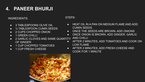# **4. PANEER BHURJI**

### INGREDIENTS:

- 3 TABLESPOONS OLIVE OIL
- ½ TABLESPOON CUMIN SEEDS
- 2 CUPS CHOPPED ONION
- **1 GREEN CHILLI**
- 2 GARLIC CLOVES AND SAME QUANTITY OF GINGER
- 1 CUP CHOPPED TOMATOES
- 1 CUP FRESH CHEESE

- HEAT OIL IN A PAN ON MEDIUM FLAME AND ADD CUMIN SEEDS
- ONCE THE SEEDS ARE BROWN, ADD ONIONS
- ONCE ONION IS BROWN, ADD GINGER, GARLIC AND CHILLI
- AFTER 2 MINUTES, ADD TOMATOES AND COOK ON LOW FLAME
- AFTER 2 MINUTES, ADD FRESH CHEESE AND COOK FOR 1 MINUTE